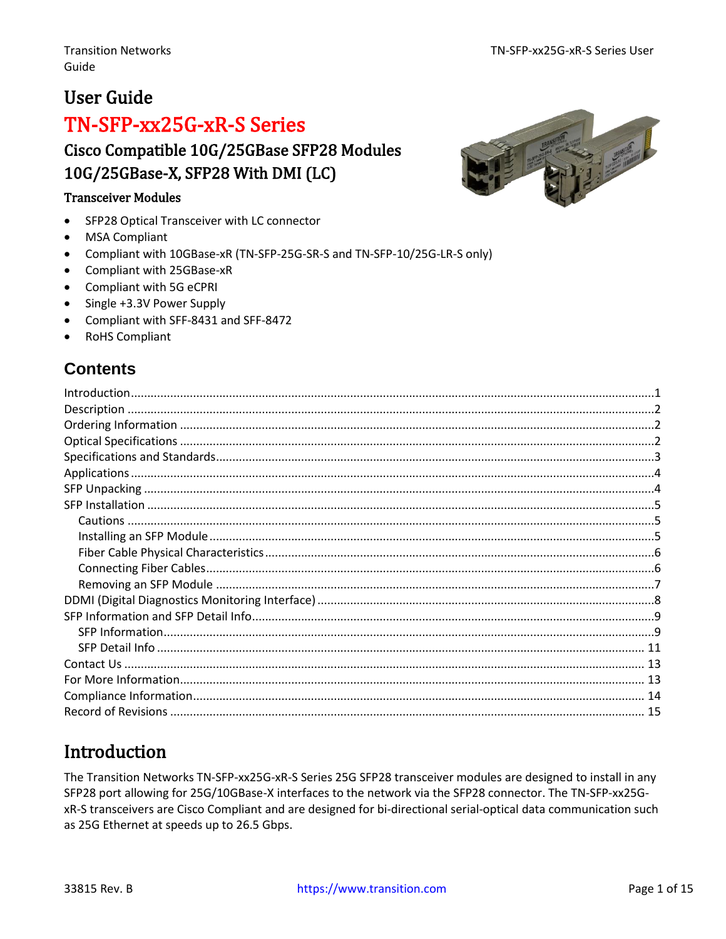**READ COMMENT** 

### **User Guide**

## TN-SFP-xx25G-xR-S Series Cisco Compatible 10G/25GBase SFP28 Modules 10G/25GBase-X, SFP28 With DMI (LC)

#### **Transceiver Modules**

- SFP28 Optical Transceiver with LC connector  $\bullet$
- **MSA Compliant**
- Compliant with 10GBase-xR (TN-SFP-25G-SR-S and TN-SFP-10/25G-LR-S only)  $\bullet$
- Compliant with 25GBase-xR
- Compliant with 5G eCPRI
- Single +3.3V Power Supply
- Compliant with SFF-8431 and SFF-8472
- RoHS Compliant

### **Contents**

### <span id="page-0-0"></span>**Introduction**

The Transition Networks TN-SFP-xx25G-xR-S Series 25G SFP28 transceiver modules are designed to install in any SFP28 port allowing for 25G/10GBase-X interfaces to the network via the SFP28 connector. The TN-SFP-xx25GxR-S transceivers are Cisco Compliant and are designed for bi-directional serial-optical data communication such as 25G Ethernet at speeds up to 26.5 Gbps.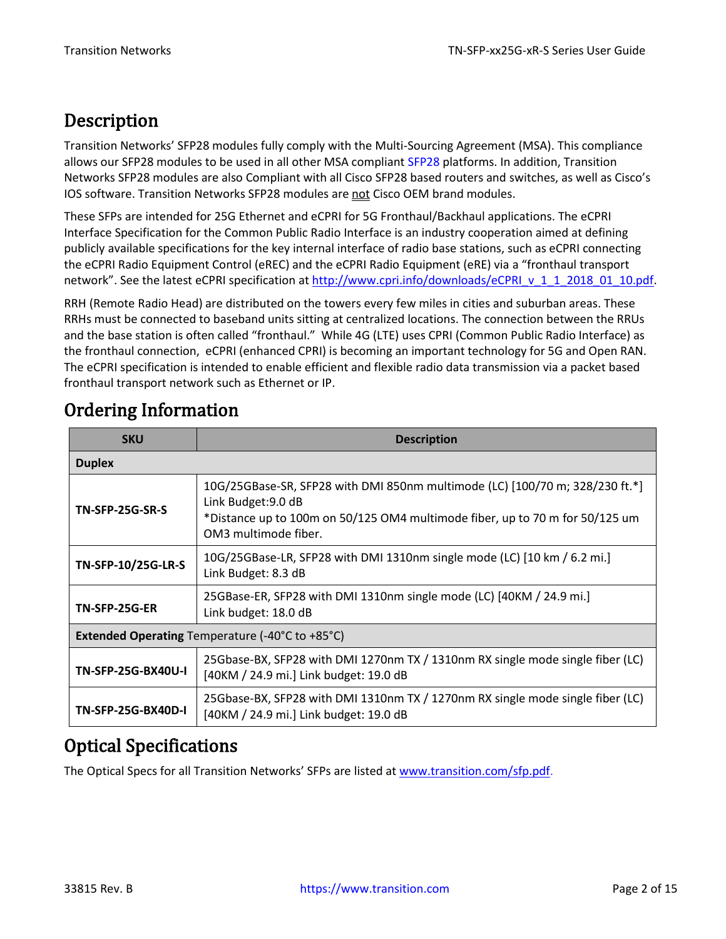## <span id="page-1-0"></span>Description

Transition Networks' SFP28 modules fully comply with the Multi-Sourcing Agreement (MSA). This compliance allows our SFP28 modules to be used in all other MSA compliant [SFP28](ftp://ftp.seagate.com/sff/SFF-8402.PDF) platforms. In addition, Transition Networks SFP28 modules are also Compliant with all Cisco SFP28 based routers and switches, as well as Cisco's IOS software. Transition Networks SFP28 modules are not Cisco OEM brand modules.

These SFPs are intended for 25G Ethernet and eCPRI for 5G Fronthaul/Backhaul applications. The eCPRI Interface Specification for the Common Public Radio Interface is an industry cooperation aimed at defining publicly available specifications for the key internal interface of radio base stations, such as eCPRI connecting the eCPRI Radio Equipment Control (eREC) and the eCPRI Radio Equipment (eRE) via a "fronthaul transport network". See the latest eCPRI specification at [http://www.cpri.info/downloads/eCPRI\\_v\\_1\\_1\\_2018\\_01\\_10.pdf.](http://www.cpri.info/downloads/eCPRI_v_1_1_2018_01_10.pdf)

RRH (Remote Radio Head) are distributed on the towers every few miles in cities and suburban areas. These RRHs must be connected to baseband units sitting at centralized locations. The connection between the RRUs and the base station is often called "fronthaul." While 4G (LTE) uses CPRI (Common Public Radio Interface) as the fronthaul connection, eCPRI (enhanced CPRI) is becoming an important technology for 5G and Open RAN. The eCPRI specification is intended to enable efficient and flexible radio data transmission via a packet based fronthaul transport network such as Ethernet or IP.

| <b>SKU</b>                                             | <b>Description</b>                                                                                                                                                                                          |  |  |  |
|--------------------------------------------------------|-------------------------------------------------------------------------------------------------------------------------------------------------------------------------------------------------------------|--|--|--|
| <b>Duplex</b>                                          |                                                                                                                                                                                                             |  |  |  |
| <b>TN-SFP-25G-SR-S</b>                                 | 10G/25GBase-SR, SFP28 with DMI 850nm multimode (LC) [100/70 m; 328/230 ft.*]<br>Link Budget: 9.0 dB<br>*Distance up to 100m on 50/125 OM4 multimode fiber, up to 70 m for 50/125 um<br>OM3 multimode fiber. |  |  |  |
| TN-SFP-10/25G-LR-S                                     | 10G/25GBase-LR, SFP28 with DMI 1310nm single mode (LC) [10 km / 6.2 mi.]<br>Link Budget: 8.3 dB                                                                                                             |  |  |  |
| <b>TN-SFP-25G-ER</b>                                   | 25GBase-ER, SFP28 with DMI 1310nm single mode (LC) [40KM / 24.9 mi.]<br>Link budget: 18.0 dB                                                                                                                |  |  |  |
| <b>Extended Operating</b> Temperature (-40°C to +85°C) |                                                                                                                                                                                                             |  |  |  |
| TN-SFP-25G-BX40U-I                                     | 25Gbase-BX, SFP28 with DMI 1270nm TX / 1310nm RX single mode single fiber (LC)<br>[40KM / 24.9 mi.] Link budget: 19.0 dB                                                                                    |  |  |  |
| <b>TN-SFP-25G-BX40D-I</b>                              | 25Gbase-BX, SFP28 with DMI 1310nm TX / 1270nm RX single mode single fiber (LC)<br>[40KM / 24.9 mi.] Link budget: 19.0 dB                                                                                    |  |  |  |

# <span id="page-1-1"></span>Ordering Information

### <span id="page-1-2"></span>Optical Specifications

The Optical Specs for all Transition Networks' SFPs are listed at [www.transition.com/sfp.pdf.](http://www.transition.com/sfp.pdf)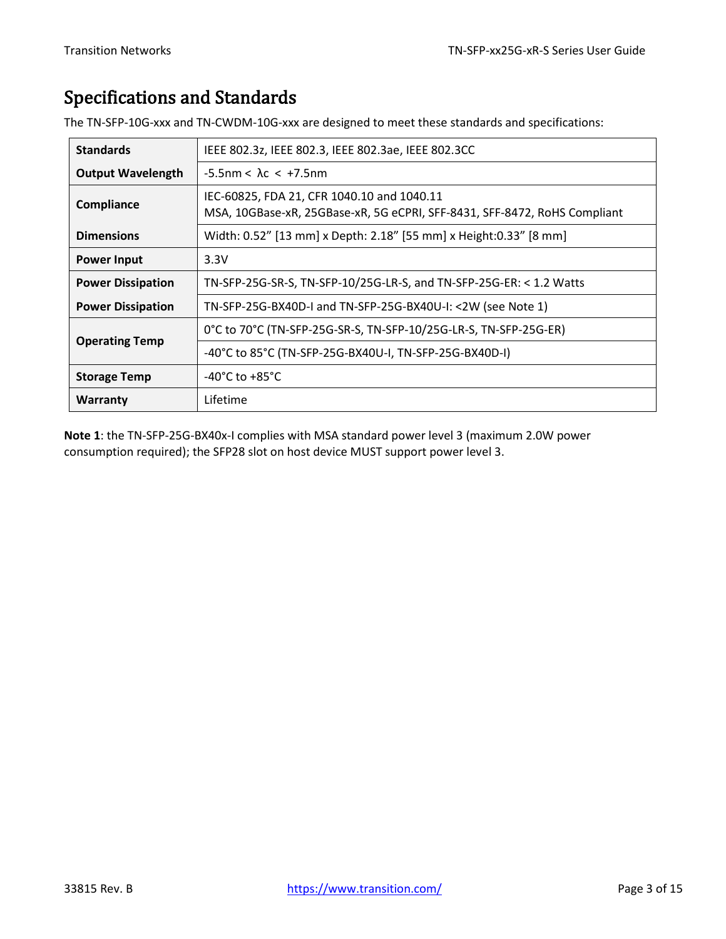# <span id="page-2-0"></span>Specifications and Standards

| <b>Standards</b>         | IEEE 802.3z, IEEE 802.3, IEEE 802.3ae, IEEE 802.3CC                                                                     |  |  |
|--------------------------|-------------------------------------------------------------------------------------------------------------------------|--|--|
| <b>Output Wavelength</b> | $-5.5$ nm < $\lambda$ c < +7.5nm                                                                                        |  |  |
| Compliance               | IEC-60825, FDA 21, CFR 1040.10 and 1040.11<br>MSA, 10GBase-xR, 25GBase-xR, 5G eCPRI, SFF-8431, SFF-8472, RoHS Compliant |  |  |
| <b>Dimensions</b>        | Width: 0.52" [13 mm] x Depth: 2.18" [55 mm] x Height: 0.33" [8 mm]                                                      |  |  |
| <b>Power Input</b>       | 3.3V                                                                                                                    |  |  |
| <b>Power Dissipation</b> | TN-SFP-25G-SR-S, TN-SFP-10/25G-LR-S, and TN-SFP-25G-ER: < 1.2 Watts                                                     |  |  |
| <b>Power Dissipation</b> | TN-SFP-25G-BX40D-I and TN-SFP-25G-BX40U-I: <2W (see Note 1)                                                             |  |  |
|                          | 0°C to 70°C (TN-SFP-25G-SR-S, TN-SFP-10/25G-LR-S, TN-SFP-25G-ER)                                                        |  |  |
| <b>Operating Temp</b>    | -40°C to 85°C (TN-SFP-25G-BX40U-I, TN-SFP-25G-BX40D-I)                                                                  |  |  |
| <b>Storage Temp</b>      | $-40^{\circ}$ C to $+85^{\circ}$ C                                                                                      |  |  |
| Warranty                 | Lifetime                                                                                                                |  |  |

The TN-SFP-10G-xxx and TN-CWDM-10G-xxx are designed to meet these standards and specifications:

**Note 1**: the TN-SFP-25G-BX40x-I complies with MSA standard power level 3 (maximum 2.0W power consumption required); the SFP28 slot on host device MUST support power level 3.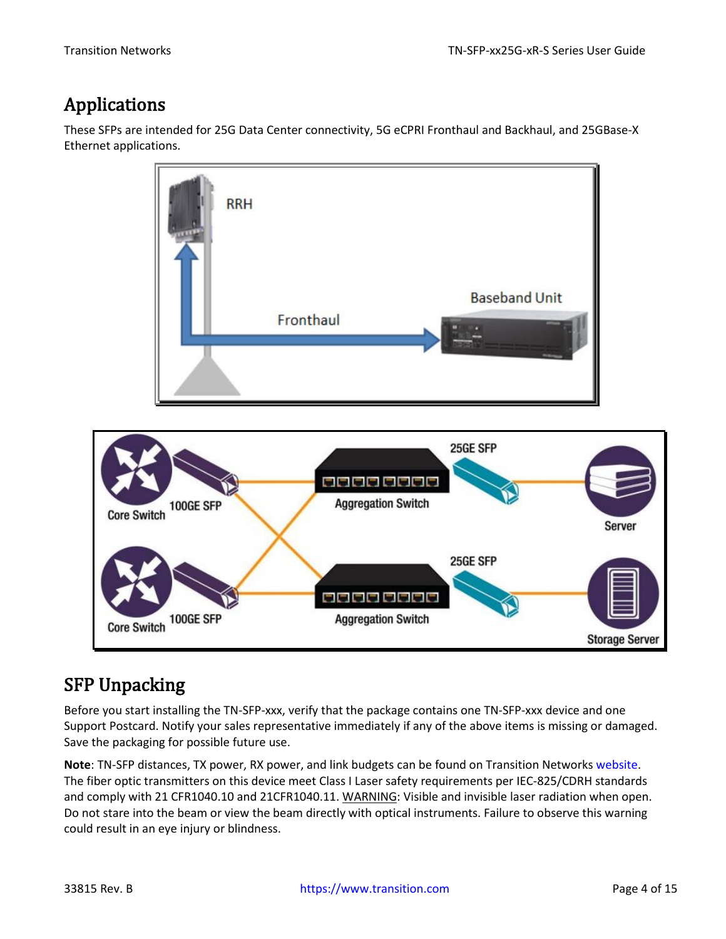## <span id="page-3-0"></span>Applications

These SFPs are intended for 25G Data Center connectivity, 5G eCPRI Fronthaul and Backhaul, and 25GBase-X Ethernet applications.



### <span id="page-3-1"></span>SFP Unpacking

Core Switch 100GE SFP

Before you start installing the TN-SFP-xxx, verify that the package contains one TN-SFP-xxx device and one Support Postcard. Notify your sales representative immediately if any of the above items is missing or damaged. Save the packaging for possible future use.

5000000

**Aggregation Switch** 

**Note**: TN-SFP distances, TX power, RX power, and link budgets can be found on Transition Networks [website.](https://www.transition.com/lines/optical-devices) The fiber optic transmitters on this device meet Class I Laser safety requirements per IEC-825/CDRH standards and comply with 21 CFR1040.10 and 21CFR1040.11. WARNING: Visible and invisible laser radiation when open. Do not stare into the beam or view the beam directly with optical instruments. Failure to observe this warning could result in an eye injury or blindness.

**Storage Server**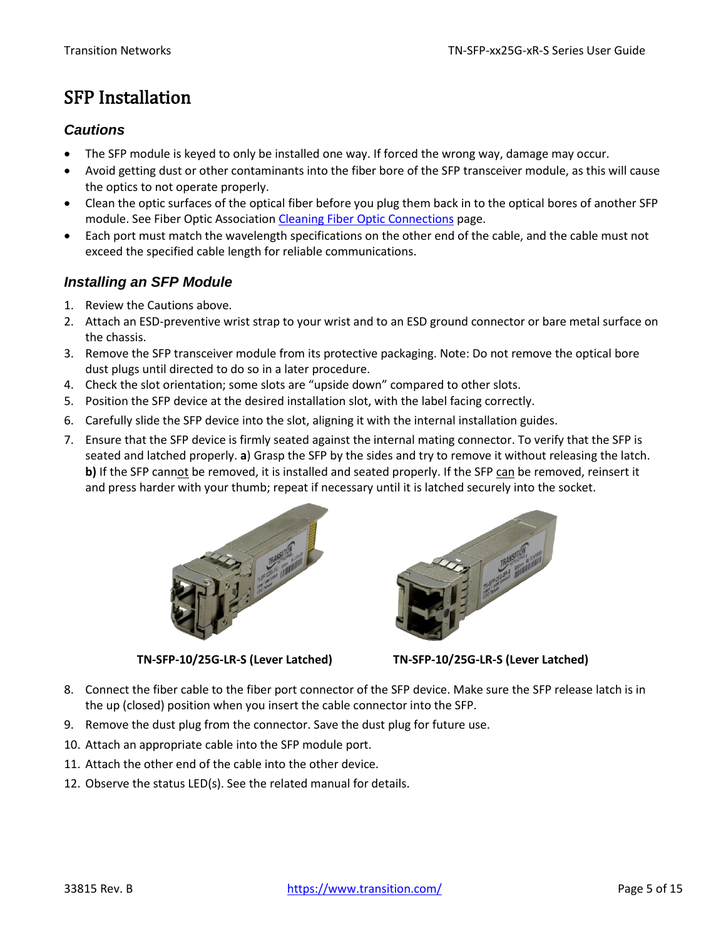## <span id="page-4-0"></span>SFP Installation

#### <span id="page-4-1"></span>*Cautions*

- The SFP module is keyed to only be installed one way. If forced the wrong way, damage may occur.
- Avoid getting dust or other contaminants into the fiber bore of the SFP transceiver module, as this will cause the optics to not operate properly.
- Clean the optic surfaces of the optical fiber before you plug them back in to the optical bores of another SFP module. See Fiber Optic Association [Cleaning Fiber Optic Connections](http://www.thefoa.org/tech/ref/termination/cleaning.html) page.
- Each port must match the wavelength specifications on the other end of the cable, and the cable must not exceed the specified cable length for reliable communications.

#### <span id="page-4-2"></span>*Installing an SFP Module*

- 1. Review the Cautions above.
- 2. Attach an ESD-preventive wrist strap to your wrist and to an ESD ground connector or bare metal surface on the chassis.
- 3. Remove the SFP transceiver module from its protective packaging. Note: Do not remove the optical bore dust plugs until directed to do so in a later procedure.
- 4. Check the slot orientation; some slots are "upside down" compared to other slots.
- 5. Position the SFP device at the desired installation slot, with the label facing correctly.
- 6. Carefully slide the SFP device into the slot, aligning it with the internal installation guides.
- 7. Ensure that the SFP device is firmly seated against the internal mating connector. To verify that the SFP is seated and latched properly. **a**) Grasp the SFP by the sides and try to remove it without releasing the latch. **b)** If the SFP cannot be removed, it is installed and seated properly. If the SFP can be removed, reinsert it and press harder with your thumb; repeat if necessary until it is latched securely into the socket.



**TN-SFP-10/25G-LR-S (Lever Latched) TN-SFP-10/25G-LR-S (Lever Latched)**



- 8. Connect the fiber cable to the fiber port connector of the SFP device. Make sure the SFP release latch is in the up (closed) position when you insert the cable connector into the SFP.
- 9. Remove the dust plug from the connector. Save the dust plug for future use.
- 10. Attach an appropriate cable into the SFP module port.
- 11. Attach the other end of the cable into the other device.
- 12. Observe the status LED(s). See the related manual for details.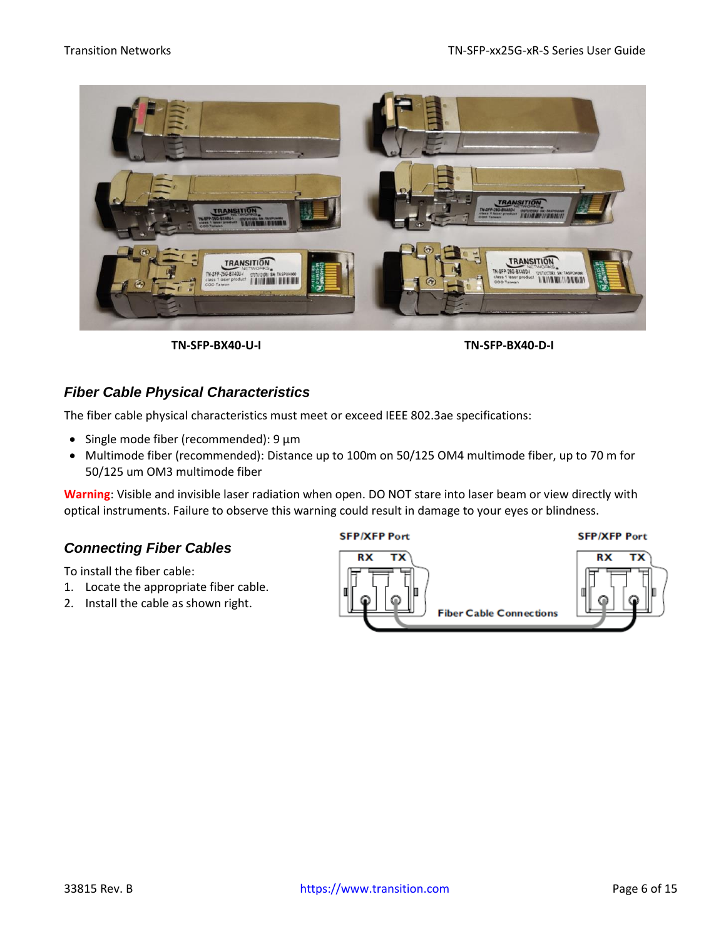



#### <span id="page-5-0"></span>*Fiber Cable Physical Characteristics*

The fiber cable physical characteristics must meet or exceed IEEE 802.3ae specifications:

- Single mode fiber (recommended): 9 μm
- Multimode fiber (recommended): Distance up to 100m on 50/125 OM4 multimode fiber, up to 70 m for 50/125 um OM3 multimode fiber

**Warning**: Visible and invisible laser radiation when open. DO NOT stare into laser beam or view directly with optical instruments. Failure to observe this warning could result in damage to your eyes or blindness.

#### <span id="page-5-1"></span>*Connecting Fiber Cables*

To install the fiber cable:

- 1. Locate the appropriate fiber cable.
- 2. Install the cable as shown right.



#### **SFP/XFP Port**

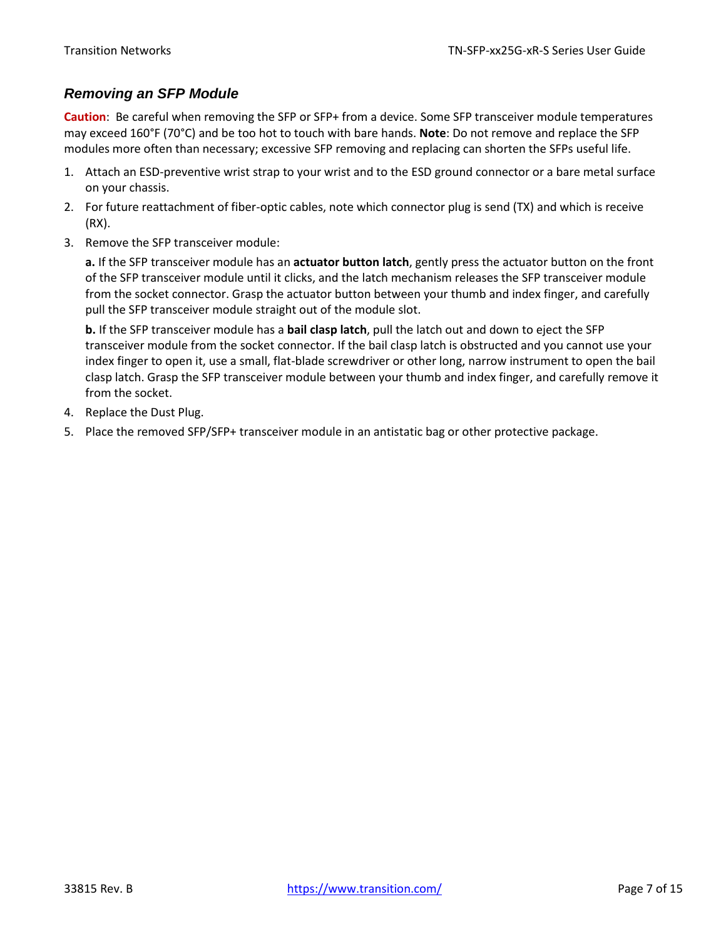#### <span id="page-6-0"></span>*Removing an SFP Module*

**Caution**: Be careful when removing the SFP or SFP+ from a device. Some SFP transceiver module temperatures may exceed 160°F (70°C) and be too hot to touch with bare hands. **Note**: Do not remove and replace the SFP modules more often than necessary; excessive SFP removing and replacing can shorten the SFPs useful life.

- 1. Attach an ESD-preventive wrist strap to your wrist and to the ESD ground connector or a bare metal surface on your chassis.
- 2. For future reattachment of fiber-optic cables, note which connector plug is send (TX) and which is receive (RX).
- 3. Remove the SFP transceiver module:

**a.** If the SFP transceiver module has an **actuator button latch**, gently press the actuator button on the front of the SFP transceiver module until it clicks, and the latch mechanism releases the SFP transceiver module from the socket connector. Grasp the actuator button between your thumb and index finger, and carefully pull the SFP transceiver module straight out of the module slot.

**b.** If the SFP transceiver module has a **bail clasp latch**, pull the latch out and down to eject the SFP transceiver module from the socket connector. If the bail clasp latch is obstructed and you cannot use your index finger to open it, use a small, flat-blade screwdriver or other long, narrow instrument to open the bail clasp latch. Grasp the SFP transceiver module between your thumb and index finger, and carefully remove it from the socket.

- 4. Replace the Dust Plug.
- 5. Place the removed SFP/SFP+ transceiver module in an antistatic bag or other protective package.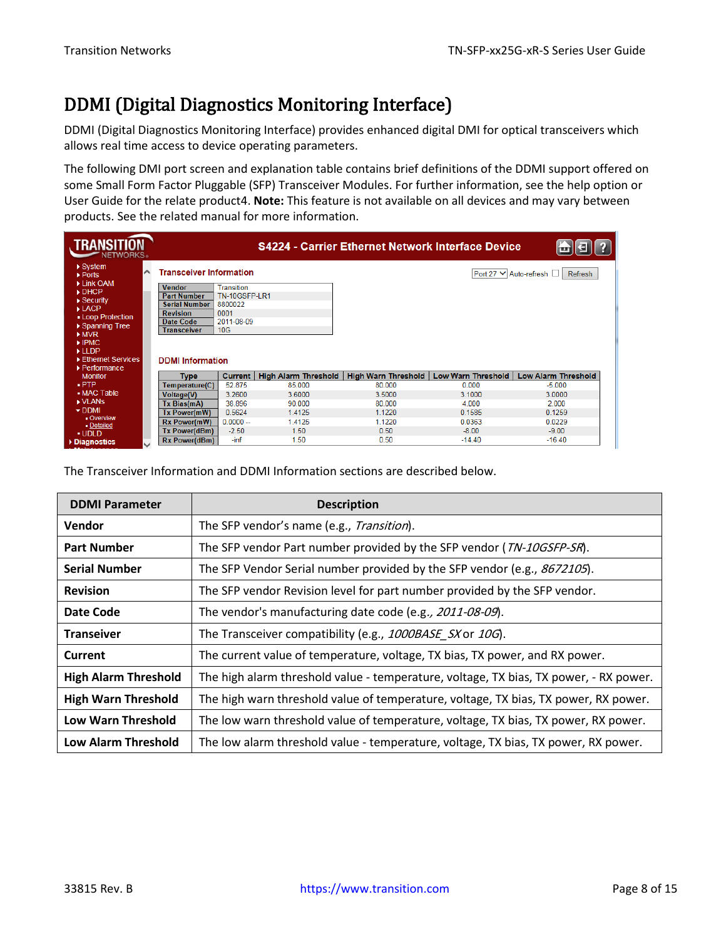## <span id="page-7-0"></span>DDMI (Digital Diagnostics Monitoring Interface)

DDMI (Digital Diagnostics Monitoring Interface) provides enhanced digital DMI for optical transceivers which allows real time access to device operating parameters.

The following DMI port screen and explanation table contains brief definitions of the DDMI support offered on some Small Form Factor Pluggable (SFP) Transceiver Modules. For further information, see the help option or User Guide for the relate product4. **Note:** This feature is not available on all devices and may vary between products. See the related manual for more information.

| $\triangleright$ System<br><b>Transceiver Information</b><br>∧<br>Port 27 V Auto-refresh □<br><b>Refresh</b><br>$\triangleright$ Ports<br>Link OAM<br>Transition<br><b>Vendor</b><br>DHCP<br><b>Part Number</b><br>TN-10GSFP-LR1<br>$\triangleright$ Security<br>8800022<br><b>Serial Number</b><br>$\blacktriangleright$ LACP<br>0001<br><b>Revision</b><br>- Loop Protection<br>2011-08-09<br>Date Code<br>▶ Spanning Tree<br>10G<br>Transceiver<br>MVR<br>$\blacktriangleright$ IPMC.<br>LLDP |
|--------------------------------------------------------------------------------------------------------------------------------------------------------------------------------------------------------------------------------------------------------------------------------------------------------------------------------------------------------------------------------------------------------------------------------------------------------------------------------------------------|
|                                                                                                                                                                                                                                                                                                                                                                                                                                                                                                  |
|                                                                                                                                                                                                                                                                                                                                                                                                                                                                                                  |
|                                                                                                                                                                                                                                                                                                                                                                                                                                                                                                  |
|                                                                                                                                                                                                                                                                                                                                                                                                                                                                                                  |
|                                                                                                                                                                                                                                                                                                                                                                                                                                                                                                  |
|                                                                                                                                                                                                                                                                                                                                                                                                                                                                                                  |
|                                                                                                                                                                                                                                                                                                                                                                                                                                                                                                  |
|                                                                                                                                                                                                                                                                                                                                                                                                                                                                                                  |
|                                                                                                                                                                                                                                                                                                                                                                                                                                                                                                  |
| Ethernet Services<br><b>DDMI</b> Information                                                                                                                                                                                                                                                                                                                                                                                                                                                     |
| ▶ Performance                                                                                                                                                                                                                                                                                                                                                                                                                                                                                    |
| High Alarm Threshold<br><b>High Warn Threshold</b><br>Low Warn Threshold<br><b>Low Alarm Threshold</b><br><b>Current</b><br><b>Monitor</b><br>Type                                                                                                                                                                                                                                                                                                                                               |
| $.$ PTP<br>52.875<br>Temperature(C)<br>85,000<br>80.000<br>0.000<br>$-5.000$                                                                                                                                                                                                                                                                                                                                                                                                                     |
| • MAC Table<br>3.2600<br>3.6000<br>3.5000<br>3.1000<br>3.0000<br><b>Voltage(V)</b>                                                                                                                                                                                                                                                                                                                                                                                                               |
| IN VLANS<br>38.896<br>90.000<br>80.000<br>4.000<br>2.000<br>Tx Bias(mA)                                                                                                                                                                                                                                                                                                                                                                                                                          |
| $\nabla$ DDMI<br>0.5624<br>1.4125<br>1.1220<br>0.1585<br>0.1259<br>Tx Power(mW)                                                                                                                                                                                                                                                                                                                                                                                                                  |
| Overview<br>1.4125<br><b>Rx Power(mW)</b><br>$0.0000 -$<br>1.1220<br>0.0363<br>0.0229<br>- Detailed                                                                                                                                                                                                                                                                                                                                                                                              |
| $-2.50$<br>1.50<br>0.50<br>Tx Power(dBm)<br>$-8.00$<br>$-9.00$<br>· UDLD                                                                                                                                                                                                                                                                                                                                                                                                                         |
| 1.50<br>0.50<br>$-14.40$<br>$-int$<br>$-16.40$<br>Rx Power(dBm)<br>Diagnostics<br>v                                                                                                                                                                                                                                                                                                                                                                                                              |

The Transceiver Information and DDMI Information sections are described below.

| <b>DDMI Parameter</b>       | <b>Description</b>                                                                    |  |
|-----------------------------|---------------------------------------------------------------------------------------|--|
| <b>Vendor</b>               | The SFP vendor's name (e.g., <i>Transition</i> ).                                     |  |
| <b>Part Number</b>          | The SFP vendor Part number provided by the SFP vendor (TN-10GSFP-SR).                 |  |
| <b>Serial Number</b>        | The SFP Vendor Serial number provided by the SFP vendor (e.g., 8672105).              |  |
| <b>Revision</b>             | The SFP vendor Revision level for part number provided by the SFP vendor.             |  |
| Date Code                   | The vendor's manufacturing date code (e.g., 2011-08-09).                              |  |
| <b>Transeiver</b>           | The Transceiver compatibility (e.g., 1000BASE_SX or 10G).                             |  |
| Current                     | The current value of temperature, voltage, TX bias, TX power, and RX power.           |  |
| <b>High Alarm Threshold</b> | The high alarm threshold value - temperature, voltage, TX bias, TX power, - RX power. |  |
| <b>High Warn Threshold</b>  | The high warn threshold value of temperature, voltage, TX bias, TX power, RX power.   |  |
| <b>Low Warn Threshold</b>   | The low warn threshold value of temperature, voltage, TX bias, TX power, RX power.    |  |
| <b>Low Alarm Threshold</b>  | The low alarm threshold value - temperature, voltage, TX bias, TX power, RX power.    |  |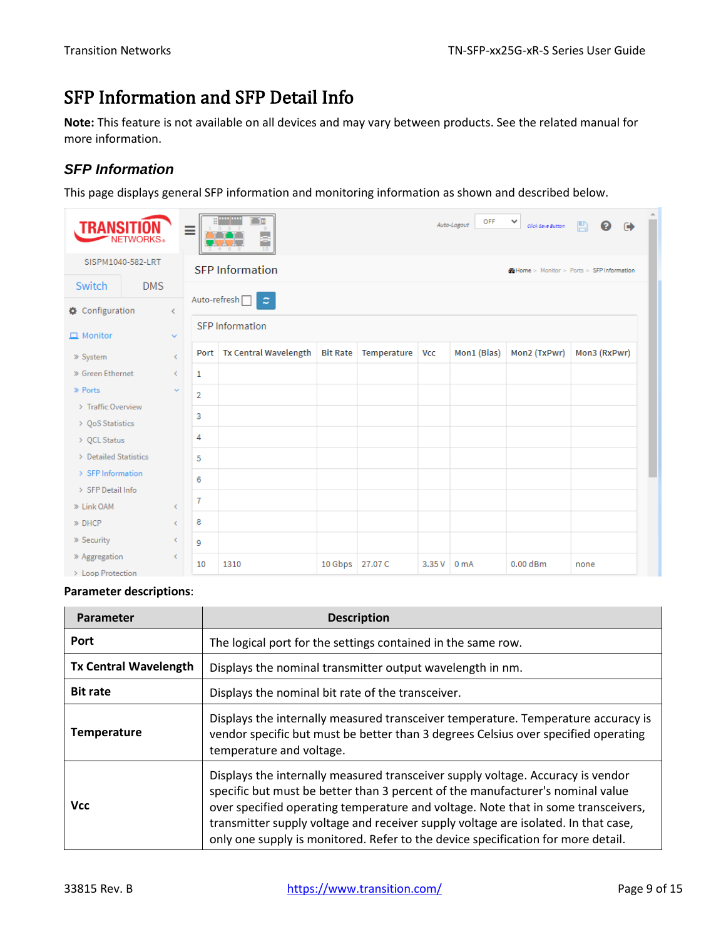## <span id="page-8-0"></span>SFP Information and SFP Detail Info

**Note:** This feature is not available on all devices and may vary between products. See the related manual for more information.

#### <span id="page-8-1"></span>*SFP Information*

This page displays general SFP information and monitoring information as shown and described below.

| TRANSI                             | <b>NETWORKS</b> <sup>®</sup> |                              | ≡              |                                                 |                 |             |       | OFF<br>Auto-Logout | $\checkmark$<br>Click Save Button | 凰<br>ଵ<br>$\ddot{\phantom{1}}$            |
|------------------------------------|------------------------------|------------------------------|----------------|-------------------------------------------------|-----------------|-------------|-------|--------------------|-----------------------------------|-------------------------------------------|
|                                    | SISPM1040-582-LRT            |                              |                | <b>SFP Information</b>                          |                 |             |       |                    |                                   | @Home > Monitor > Ports > SFP Information |
| Switch                             | <b>DMS</b>                   |                              |                |                                                 |                 |             |       |                    |                                   |                                           |
| Configuration                      |                              | $\left\langle \right\rangle$ |                | Auto-refresh <sup>[1]</sup><br>$\boldsymbol{z}$ |                 |             |       |                    |                                   |                                           |
| $\Box$ Monitor                     |                              | $\checkmark$                 |                | <b>SFP</b> Information                          |                 |             |       |                    |                                   |                                           |
| » System                           |                              | €                            |                | Port   Tx Central Wavelength                    | <b>Bit Rate</b> | Temperature | Vcc   | Mon1 (Bias)        | Mon2 (TxPwr)                      | Mon3 (RxPwr)                              |
| » Green Ethernet                   |                              | $\leftarrow$                 | 1              |                                                 |                 |             |       |                    |                                   |                                           |
| » Ports                            |                              | $\checkmark$                 | $\overline{2}$ |                                                 |                 |             |       |                    |                                   |                                           |
| > Traffic Overview                 |                              |                              |                |                                                 |                 |             |       |                    |                                   |                                           |
| > QoS Statistics                   |                              |                              | 3              |                                                 |                 |             |       |                    |                                   |                                           |
| > QCL Status                       |                              |                              | 4              |                                                 |                 |             |       |                    |                                   |                                           |
| > Detailed Statistics              |                              |                              | 5              |                                                 |                 |             |       |                    |                                   |                                           |
| > SFP Information                  |                              |                              | 6              |                                                 |                 |             |       |                    |                                   |                                           |
| > SFP Detail Info                  |                              |                              |                |                                                 |                 |             |       |                    |                                   |                                           |
| » Link OAM                         |                              | €                            | $\overline{7}$ |                                                 |                 |             |       |                    |                                   |                                           |
| » DHCP                             |                              | $\left\langle \right\rangle$ | 8              |                                                 |                 |             |       |                    |                                   |                                           |
| » Security                         |                              | ≺                            | 9              |                                                 |                 |             |       |                    |                                   |                                           |
| » Aggregation<br>> Loop Protection |                              | ∢                            | 10             | 1310                                            | 10 Gbps         | 27.07 C     | 3.35V | 0 <sub>m</sub> A   | $0.00$ dBm                        | none                                      |

#### **Parameter descriptions**:

| <b>Parameter</b>             | <b>Description</b>                                                                                                                                                                                                                                                                                                                                                                                                               |  |  |
|------------------------------|----------------------------------------------------------------------------------------------------------------------------------------------------------------------------------------------------------------------------------------------------------------------------------------------------------------------------------------------------------------------------------------------------------------------------------|--|--|
| Port                         | The logical port for the settings contained in the same row.                                                                                                                                                                                                                                                                                                                                                                     |  |  |
| <b>Tx Central Wavelength</b> | Displays the nominal transmitter output wavelength in nm.                                                                                                                                                                                                                                                                                                                                                                        |  |  |
| <b>Bit rate</b>              | Displays the nominal bit rate of the transceiver.                                                                                                                                                                                                                                                                                                                                                                                |  |  |
| <b>Temperature</b>           | Displays the internally measured transceiver temperature. Temperature accuracy is<br>vendor specific but must be better than 3 degrees Celsius over specified operating<br>temperature and voltage.                                                                                                                                                                                                                              |  |  |
| <b>Vcc</b>                   | Displays the internally measured transceiver supply voltage. Accuracy is vendor<br>specific but must be better than 3 percent of the manufacturer's nominal value<br>over specified operating temperature and voltage. Note that in some transceivers,<br>transmitter supply voltage and receiver supply voltage are isolated. In that case,<br>only one supply is monitored. Refer to the device specification for more detail. |  |  |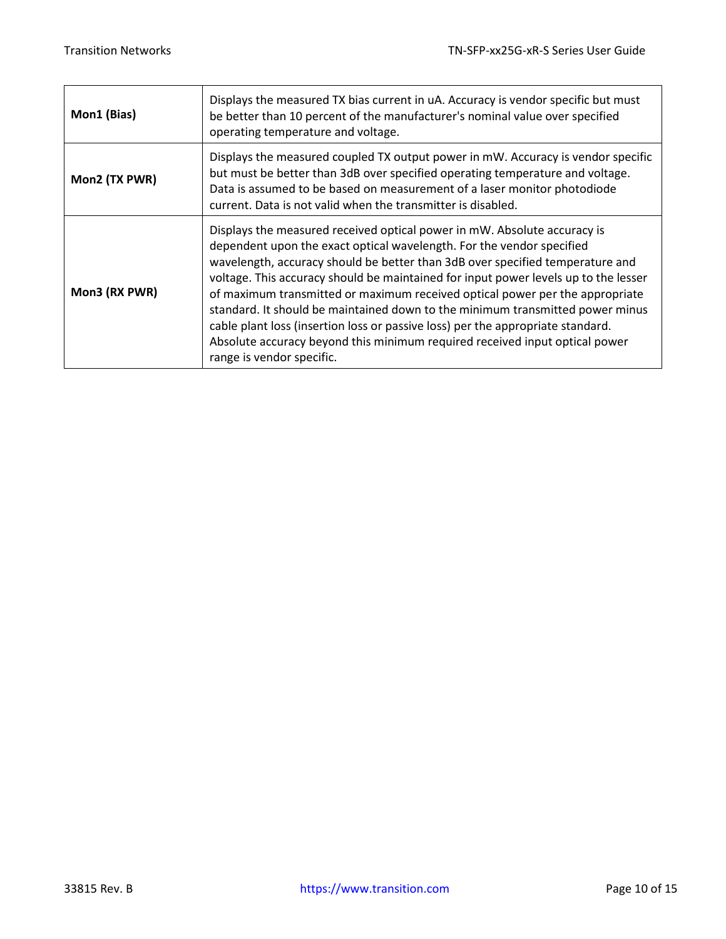| Mon1 (Bias)   | Displays the measured TX bias current in uA. Accuracy is vendor specific but must<br>be better than 10 percent of the manufacturer's nominal value over specified<br>operating temperature and voltage.                                                                                                                                                                                                                                                                                                                                                                                                                                                                                   |
|---------------|-------------------------------------------------------------------------------------------------------------------------------------------------------------------------------------------------------------------------------------------------------------------------------------------------------------------------------------------------------------------------------------------------------------------------------------------------------------------------------------------------------------------------------------------------------------------------------------------------------------------------------------------------------------------------------------------|
| Mon2 (TX PWR) | Displays the measured coupled TX output power in mW. Accuracy is vendor specific<br>but must be better than 3dB over specified operating temperature and voltage.<br>Data is assumed to be based on measurement of a laser monitor photodiode<br>current. Data is not valid when the transmitter is disabled.                                                                                                                                                                                                                                                                                                                                                                             |
| Mon3 (RX PWR) | Displays the measured received optical power in mW. Absolute accuracy is<br>dependent upon the exact optical wavelength. For the vendor specified<br>wavelength, accuracy should be better than 3dB over specified temperature and<br>voltage. This accuracy should be maintained for input power levels up to the lesser<br>of maximum transmitted or maximum received optical power per the appropriate<br>standard. It should be maintained down to the minimum transmitted power minus<br>cable plant loss (insertion loss or passive loss) per the appropriate standard.<br>Absolute accuracy beyond this minimum required received input optical power<br>range is vendor specific. |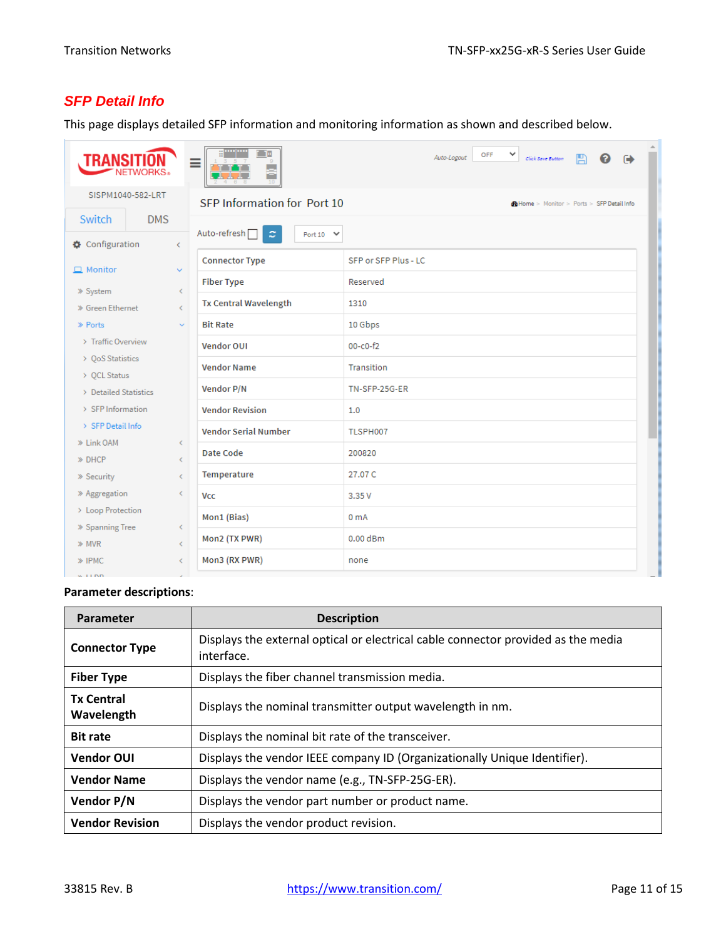### <span id="page-10-0"></span>*SFP Detail Info*

This page displays detailed SFP information and monitoring information as shown and described below.

| TRANS                                          | Ξ                                                                                | OFF<br>$\check{ }$<br>Auto-Logout<br>Click Save Button<br>Θ |  |
|------------------------------------------------|----------------------------------------------------------------------------------|-------------------------------------------------------------|--|
| SISPM1040-582-LRT                              | SFP Information for Port 10<br><b>M</b> Home > Monitor > Ports > SFP Detail Info |                                                             |  |
| Switch<br><b>DMS</b>                           |                                                                                  |                                                             |  |
| Configuration<br>$\overline{\phantom{0}}$      | Auto-refresh <sup>[1]</sup><br>$\tilde{z}$<br>Port 10 $\vee$                     |                                                             |  |
| $\Box$ Monitor<br>$\checkmark$                 | <b>Connector Type</b>                                                            | SFP or SFP Plus - LC                                        |  |
|                                                | <b>Fiber Type</b>                                                                | Reserved                                                    |  |
| » System<br>∢<br>» Green Ethernet<br>$\langle$ | <b>Tx Central Wavelength</b>                                                     | 1310                                                        |  |
| » Ports<br>$\sim$                              | <b>Bit Rate</b>                                                                  | 10 Gbps                                                     |  |
| > Traffic Overview                             | <b>Vendor OUI</b>                                                                | $00 - c0 - f2$                                              |  |
| > QoS Statistics                               | <b>Vendor Name</b>                                                               | Transition                                                  |  |
| > QCL Status                                   |                                                                                  |                                                             |  |
| > Detailed Statistics                          | Vendor P/N                                                                       | TN-SFP-25G-ER                                               |  |
| > SFP Information                              | <b>Vendor Revision</b>                                                           | 1.0                                                         |  |
| > SEP Detail Info                              | <b>Vendor Serial Number</b>                                                      | TLSPH007                                                    |  |
| » Link OAM<br>∢                                |                                                                                  |                                                             |  |
| » DHCP<br>€                                    | Date Code                                                                        | 200820                                                      |  |
| » Security<br>$\langle$                        | Temperature                                                                      | 27.07 C                                                     |  |
| » Aggregation<br>∢                             | <b>Vcc</b>                                                                       | 3.35V                                                       |  |
| > Loop Protection                              |                                                                                  |                                                             |  |
| » Spanning Tree<br>$\langle$                   | Mon1 (Bias)                                                                      | 0 <sub>mA</sub>                                             |  |
| » MVR<br>€                                     | Mon2 (TX PWR)                                                                    | $0.00$ dBm                                                  |  |
| » IPMC<br>∢                                    | Mon3 (RX PWR)                                                                    | none                                                        |  |
| <b>Contractor</b>                              |                                                                                  |                                                             |  |

#### **Parameter descriptions**:

| Parameter                       | <b>Description</b>                                                                              |  |  |
|---------------------------------|-------------------------------------------------------------------------------------------------|--|--|
| <b>Connector Type</b>           | Displays the external optical or electrical cable connector provided as the media<br>interface. |  |  |
| <b>Fiber Type</b>               | Displays the fiber channel transmission media.                                                  |  |  |
| <b>Tx Central</b><br>Wavelength | Displays the nominal transmitter output wavelength in nm.                                       |  |  |
| <b>Bit rate</b>                 | Displays the nominal bit rate of the transceiver.                                               |  |  |
| <b>Vendor OUI</b>               | Displays the vendor IEEE company ID (Organizationally Unique Identifier).                       |  |  |
| <b>Vendor Name</b>              | Displays the vendor name (e.g., TN-SFP-25G-ER).                                                 |  |  |
| Vendor P/N                      | Displays the vendor part number or product name.                                                |  |  |
| <b>Vendor Revision</b>          | Displays the vendor product revision.                                                           |  |  |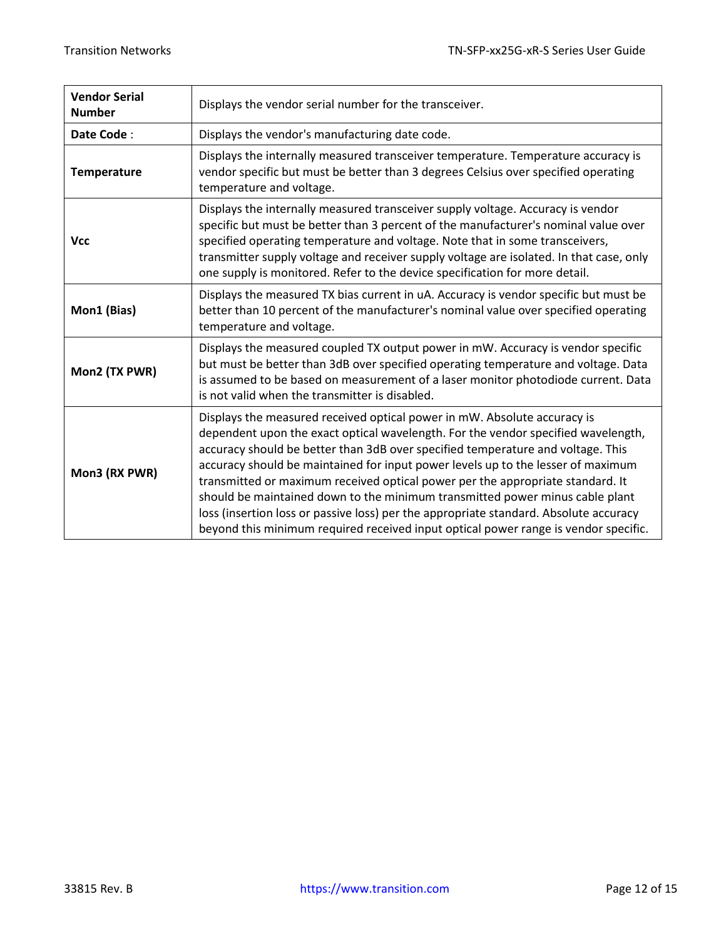| <b>Vendor Serial</b><br><b>Number</b> | Displays the vendor serial number for the transceiver.                                                                                                                                                                                                                                                                                                                                                                                                                                                                                                                                                                                                                                 |  |  |
|---------------------------------------|----------------------------------------------------------------------------------------------------------------------------------------------------------------------------------------------------------------------------------------------------------------------------------------------------------------------------------------------------------------------------------------------------------------------------------------------------------------------------------------------------------------------------------------------------------------------------------------------------------------------------------------------------------------------------------------|--|--|
| Date Code:                            | Displays the vendor's manufacturing date code.                                                                                                                                                                                                                                                                                                                                                                                                                                                                                                                                                                                                                                         |  |  |
| <b>Temperature</b>                    | Displays the internally measured transceiver temperature. Temperature accuracy is<br>vendor specific but must be better than 3 degrees Celsius over specified operating<br>temperature and voltage.                                                                                                                                                                                                                                                                                                                                                                                                                                                                                    |  |  |
| <b>Vcc</b>                            | Displays the internally measured transceiver supply voltage. Accuracy is vendor<br>specific but must be better than 3 percent of the manufacturer's nominal value over<br>specified operating temperature and voltage. Note that in some transceivers,<br>transmitter supply voltage and receiver supply voltage are isolated. In that case, only<br>one supply is monitored. Refer to the device specification for more detail.                                                                                                                                                                                                                                                       |  |  |
| Mon1 (Bias)                           | Displays the measured TX bias current in uA. Accuracy is vendor specific but must be<br>better than 10 percent of the manufacturer's nominal value over specified operating<br>temperature and voltage.                                                                                                                                                                                                                                                                                                                                                                                                                                                                                |  |  |
| Mon2 (TX PWR)                         | Displays the measured coupled TX output power in mW. Accuracy is vendor specific<br>but must be better than 3dB over specified operating temperature and voltage. Data<br>is assumed to be based on measurement of a laser monitor photodiode current. Data<br>is not valid when the transmitter is disabled.                                                                                                                                                                                                                                                                                                                                                                          |  |  |
| Mon3 (RX PWR)                         | Displays the measured received optical power in mW. Absolute accuracy is<br>dependent upon the exact optical wavelength. For the vendor specified wavelength,<br>accuracy should be better than 3dB over specified temperature and voltage. This<br>accuracy should be maintained for input power levels up to the lesser of maximum<br>transmitted or maximum received optical power per the appropriate standard. It<br>should be maintained down to the minimum transmitted power minus cable plant<br>loss (insertion loss or passive loss) per the appropriate standard. Absolute accuracy<br>beyond this minimum required received input optical power range is vendor specific. |  |  |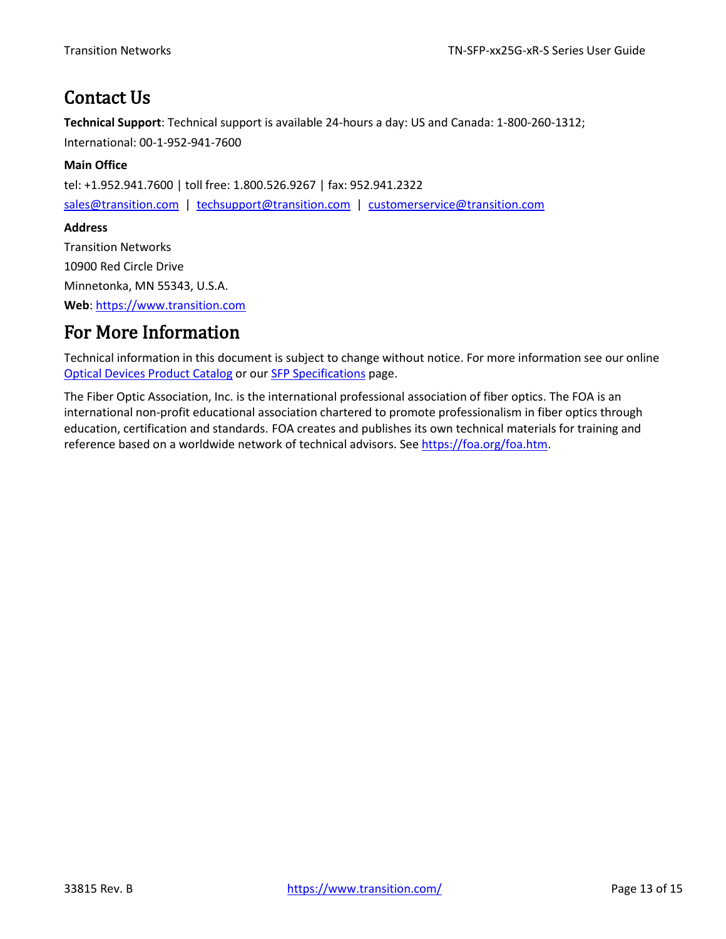## <span id="page-12-0"></span>Contact Us

**Technical Support**: Technical support is available 24-hours a day: US and Canada: 1-800-260-1312; International: 00-1-952-941-7600

#### **Main Office**

tel: +1.952.941.7600 | toll free: 1.800.526.9267 | fax: 952.941.2322

[sales@transition.com](mailto:sales@transition.com) | [techsupport@transition.com](mailto:techsupport@transition.com) | [customerservice@transition.com](mailto:customerservice@transition.com)

#### **Address**

Transition Networks 10900 Red Circle Drive Minnetonka, MN 55343, U.S.A. **Web**: [https://www.transition.com](https://www.transition.com/) 

### <span id="page-12-1"></span>For More Information

Technical information in this document is subject to change without notice. For more information see our online [Optical Devices Product Catalog](https://www.transition.com/wp-content/uploads/2016/05/Optical-Devices-Catalog.pdf) or ou[r SFP Specifications](https://www.transition.com/wp-content/uploads/2016/05/SFP-Specifications.pdf) page.

The Fiber Optic Association, Inc. is the international professional association of fiber optics. The FOA is an international non-profit educational association chartered to promote professionalism in fiber optics through education, certification and standards. FOA creates and publishes its own technical materials for training and reference based on a worldwide network of technical advisors. Se[e https://foa.org/foa.htm.](https://foa.org/foa.htm)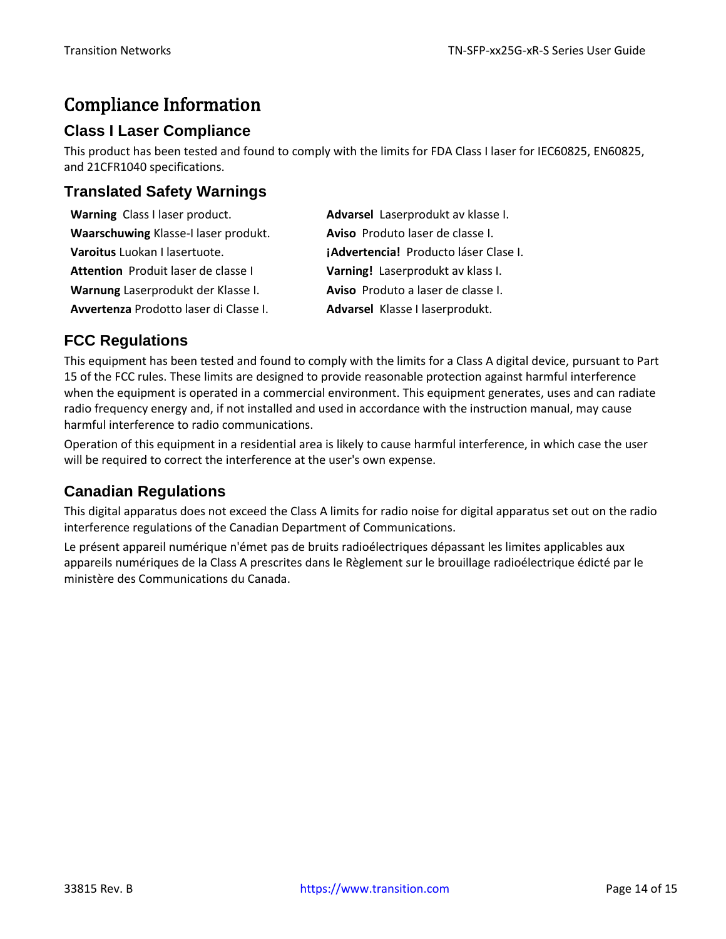## <span id="page-13-0"></span>Compliance Information

#### **Class I Laser Compliance**

This product has been tested and found to comply with the limits for FDA Class I laser for IEC60825, EN60825, and 21CFR1040 specifications.

#### **Translated Safety Warnings**

| Warning Class I laser product.         | Advarsel Laserprodukt av klasse I.    |
|----------------------------------------|---------------------------------------|
| Waarschuwing Klasse-I laser produkt.   | Aviso Produto laser de classe I.      |
| Varoitus Luokan I lasertuote.          | jAdvertencia! Producto láser Clase I. |
| Attention Produit laser de classe I    | Varning! Laserprodukt av klass I.     |
| Warnung Laserprodukt der Klasse I.     | Aviso Produto a laser de classe I.    |
| Avvertenza Prodotto laser di Classe I. | Advarsel Klasse I laserprodukt.       |

#### **FCC Regulations**

This equipment has been tested and found to comply with the limits for a Class A digital device, pursuant to Part 15 of the FCC rules. These limits are designed to provide reasonable protection against harmful interference when the equipment is operated in a commercial environment. This equipment generates, uses and can radiate radio frequency energy and, if not installed and used in accordance with the instruction manual, may cause harmful interference to radio communications.

Operation of this equipment in a residential area is likely to cause harmful interference, in which case the user will be required to correct the interference at the user's own expense.

### **Canadian Regulations**

This digital apparatus does not exceed the Class A limits for radio noise for digital apparatus set out on the radio interference regulations of the Canadian Department of Communications.

Le présent appareil numérique n'émet pas de bruits radioélectriques dépassant les limites applicables aux appareils numériques de la Class A prescrites dans le Règlement sur le brouillage radioélectrique édicté par le ministère des Communications du Canada.